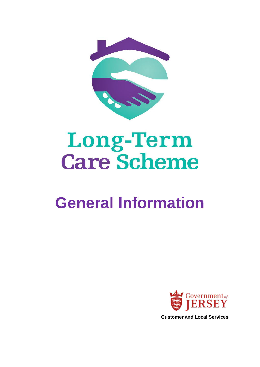

# **Long-Term<br>Care Scheme**

# **General Information**



**Customer and Local Services**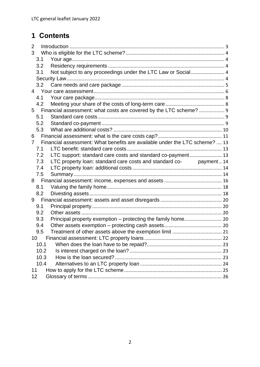# **1 Contents**

| $\overline{2}$ |                 |                                                                             |  |
|----------------|-----------------|-----------------------------------------------------------------------------|--|
| 3              |                 |                                                                             |  |
|                | 3.1             |                                                                             |  |
|                | 3.2             |                                                                             |  |
|                | 3.1             | Not subject to any proceedings under the LTC Law or Social  4               |  |
|                |                 |                                                                             |  |
|                | 3.2             |                                                                             |  |
|                | $4\overline{ }$ |                                                                             |  |
|                | 4.1             |                                                                             |  |
|                | 4.2             |                                                                             |  |
|                | 5               | Financial assessment: what costs are covered by the LTC scheme?  9          |  |
|                | 5.1             |                                                                             |  |
|                | 5.2             |                                                                             |  |
|                | 5.3             |                                                                             |  |
| 6              |                 |                                                                             |  |
| 7              |                 | Financial assessment: What benefits are available under the LTC scheme?  13 |  |
|                | 7.1             |                                                                             |  |
|                | 7.2             | LTC support: standard care costs and standard co-payment 13                 |  |
|                | 7.3             | LTC property loan: standard care costs and standard co- payment  14         |  |
|                | 7.4             |                                                                             |  |
|                | 7.5             |                                                                             |  |
|                |                 |                                                                             |  |
|                | 8.1             |                                                                             |  |
|                | 8.2             |                                                                             |  |
| 9              |                 |                                                                             |  |
|                | 9.1             |                                                                             |  |
|                | 9.2             |                                                                             |  |
|                | 9.3             |                                                                             |  |
|                | 9.4             |                                                                             |  |
|                | 9.5             |                                                                             |  |
|                | $10-10$         |                                                                             |  |
|                | 10.1            |                                                                             |  |
|                | 10.2            |                                                                             |  |
|                | 10.3            |                                                                             |  |
|                | 10.4            |                                                                             |  |
| 11             |                 |                                                                             |  |
| 12             |                 |                                                                             |  |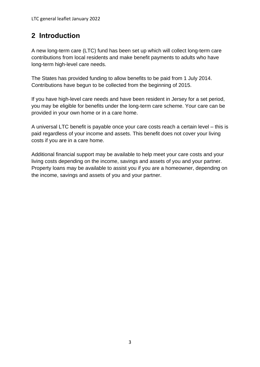# <span id="page-2-0"></span>**2 Introduction**

A new long-term care (LTC) fund has been set up which will collect long-term care contributions from local residents and make benefit payments to adults who have long-term high-level care needs.

The States has provided funding to allow benefits to be paid from 1 July 2014. Contributions have begun to be collected from the beginning of 2015.

If you have high-level care needs and have been resident in Jersey for a set period, you may be eligible for benefits under the long-term care scheme. Your care can be provided in your own home or in a care home.

A universal LTC benefit is payable once your care costs reach a certain level – this is paid regardless of your income and assets. This benefit does not cover your living costs if you are in a care home.

Additional financial support may be available to help meet your care costs and your living costs depending on the income, savings and assets of you and your partner. Property loans may be available to assist you if you are a homeowner, depending on the income, savings and assets of you and your partner.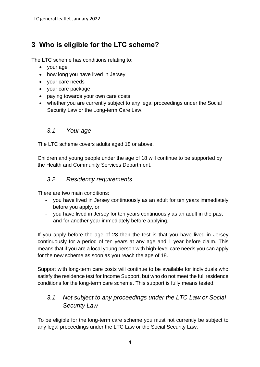# <span id="page-3-0"></span>**3 Who is eligible for the LTC scheme?**

The LTC scheme has conditions relating to:

- your age
- how long you have lived in Jersey
- your care needs
- your care package
- paying towards your own care costs
- whether you are currently subject to any legal proceedings under the Social Security Law or the Long-term Care Law.

#### <span id="page-3-1"></span>*3.1 Your age*

The LTC scheme covers adults aged 18 or above.

Children and young people under the age of 18 will continue to be supported by the Health and Community Services Department.

#### <span id="page-3-2"></span>*3.2 Residency requirements*

There are two main conditions:

- you have lived in Jersey continuously as an adult for ten years immediately before you apply, or
- you have lived in Jersey for ten years continuously as an adult in the past and for another year immediately before applying.

If you apply before the age of 28 then the test is that you have lived in Jersey continuously for a period of ten years at any age and 1 year before claim. This means that if you are a local young person with high-level care needs you can apply for the new scheme as soon as you reach the age of 18.

Support with long-term care costs will continue to be available for individuals who satisfy the residence test for Income Support, but who do not meet the full residence conditions for the long-term care scheme. This support is fully means tested.

# <span id="page-3-3"></span>*3.1 Not subject to any proceedings under the LTC Law or Social Security Law*

<span id="page-3-4"></span>To be eligible for the long-term care scheme you must not currently be subject to any legal proceedings under the LTC Law or the Social Security Law.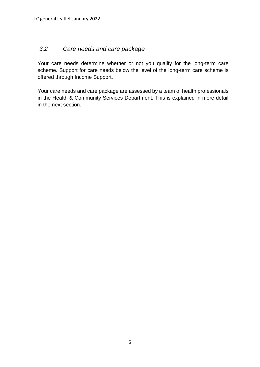# <span id="page-4-0"></span>*3.2 Care needs and care package*

Your care needs determine whether or not you qualify for the long-term care scheme. Support for care needs below the level of the long-term care scheme is offered through Income Support.

Your care needs and care package are assessed by a team of health professionals in the Health & Community Services Department. This is explained in more detail in the next section.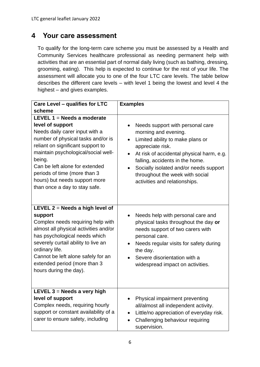# <span id="page-5-0"></span>**4 Your care assessment**

To qualify for the long-term care scheme you must be assessed by a Health and Community Services healthcare professional as needing permanent help with activities that are an essential part of normal daily living (such as bathing, dressing, grooming, eating). This help is expected to continue for the rest of your life. The assessment will allocate you to one of the four LTC care levels. The table below describes the different care levels – with level 1 being the lowest and level 4 the highest – and gives examples.

| Care Level - qualifies for LTC                                                                                                                                                                                                                                                                                                                     | <b>Examples</b>                                                                                                                                                                                                                                                                                                                          |  |  |  |
|----------------------------------------------------------------------------------------------------------------------------------------------------------------------------------------------------------------------------------------------------------------------------------------------------------------------------------------------------|------------------------------------------------------------------------------------------------------------------------------------------------------------------------------------------------------------------------------------------------------------------------------------------------------------------------------------------|--|--|--|
| scheme                                                                                                                                                                                                                                                                                                                                             |                                                                                                                                                                                                                                                                                                                                          |  |  |  |
| LEVEL $1 =$ Needs a moderate<br>level of support<br>Needs daily carer input with a<br>number of physical tasks and/or is<br>reliant on significant support to<br>maintain psychological/social well-<br>being.<br>Can be left alone for extended<br>periods of time (more than 3<br>hours) but needs support more<br>than once a day to stay safe. | Needs support with personal care<br>morning and evening.<br>Limited ability to make plans or<br>$\bullet$<br>appreciate risk.<br>At risk of accidental physical harm, e.g.<br>$\bullet$<br>falling, accidents in the home.<br>Socially isolated and/or needs support<br>throughout the week with social<br>activities and relationships. |  |  |  |
| LEVEL $2$ = Needs a high level of<br>support<br>Complex needs requiring help with<br>almost all physical activities and/or<br>has psychological needs which<br>severely curtail ability to live an<br>ordinary life.<br>Cannot be left alone safely for an<br>extended period (more than 3<br>hours during the day).                               | Needs help with personal care and<br>physical tasks throughout the day or<br>needs support of two carers with<br>personal care.<br>Needs regular visits for safety during<br>the day.<br>Severe disorientation with a<br>widespread impact on activities.                                                                                |  |  |  |
| LEVEL $3$ = Needs a very high<br>level of support<br>Complex needs, requiring hourly<br>support or constant availability of a<br>carer to ensure safety, including                                                                                                                                                                                 | Physical impairment preventing<br>all/almost all independent activity.<br>Little/no appreciation of everyday risk.<br>Challenging behaviour requiring<br>supervision.                                                                                                                                                                    |  |  |  |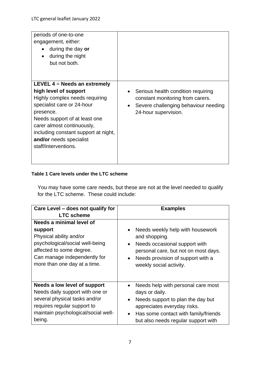| periods of one-to-one<br>engagement, either:<br>during the day or<br>during the night<br>but not both.                                                                                                                                                                                         |                                                                                                                                                                  |
|------------------------------------------------------------------------------------------------------------------------------------------------------------------------------------------------------------------------------------------------------------------------------------------------|------------------------------------------------------------------------------------------------------------------------------------------------------------------|
| LEVEL $4$ = Needs an extremely<br>high level of support<br>Highly complex needs requiring<br>specialist care or 24-hour<br>presence.<br>Needs support of at least one<br>carer almost continuously,<br>including constant support at night,<br>and/or needs specialist<br>staff/interventions. | Serious health condition requiring<br>$\bullet$<br>constant monitoring from carers.<br>Severe challenging behaviour needing<br>$\bullet$<br>24-hour supervision. |

#### **Table 1 Care levels under the LTC scheme**

You may have some care needs, but these are not at the level needed to qualify for the LTC scheme. These could include:

| Care Level - does not qualify for                                                                                                                                                             | <b>Examples</b>                                                                                                                                                                                                                   |  |  |  |  |
|-----------------------------------------------------------------------------------------------------------------------------------------------------------------------------------------------|-----------------------------------------------------------------------------------------------------------------------------------------------------------------------------------------------------------------------------------|--|--|--|--|
| <b>LTC scheme</b>                                                                                                                                                                             |                                                                                                                                                                                                                                   |  |  |  |  |
| Needs a minimal level of<br>support<br>Physical ability and/or<br>psychological/social well-being<br>affected to some degree.<br>Can manage independently for<br>more than one day at a time. | Needs weekly help with housework<br>and shopping.<br>Needs occasional support with<br>$\bullet$<br>personal care, but not on most days.<br>Needs provision of support with a<br>$\bullet$<br>weekly social activity.              |  |  |  |  |
| Needs a low level of support<br>Needs daily support with one or<br>several physical tasks and/or<br>requires regular support to<br>maintain psychological/social well-<br>being.              | Needs help with personal care most<br>days or daily.<br>Needs support to plan the day but<br>$\bullet$<br>appreciates everyday risks.<br>Has some contact with family/friends<br>$\bullet$<br>but also needs regular support with |  |  |  |  |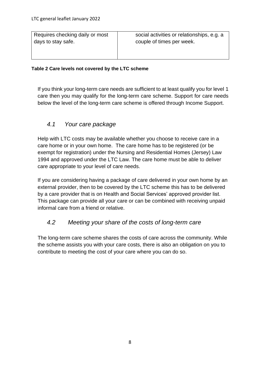Requires checking daily or most days to stay safe.

social activities or relationships, e.g. a couple of times per week.

#### **Table 2 Care levels not covered by the LTC scheme**

If you think your long-term care needs are sufficient to at least qualify you for level 1 care then you may qualify for the long-term care scheme. Support for care needs below the level of the long-term care scheme is offered through Income Support.

#### <span id="page-7-0"></span>*4.1 Your care package*

Help with LTC costs may be available whether you choose to receive care in a care home or in your own home. The care home has to be registered (or be exempt for registration) under the Nursing and Residential Homes (Jersey) Law 1994 and approved under the LTC Law. The care home must be able to deliver care appropriate to your level of care needs.

If you are considering having a package of care delivered in your own home by an external provider, then to be covered by the LTC scheme this has to be delivered by a care provider that is on Health and Social Services' approved provider list. This package can provide all your care or can be combined with receiving unpaid informal care from a friend or relative.

#### <span id="page-7-1"></span>*4.2 Meeting your share of the costs of long-term care*

The long-term care scheme shares the costs of care across the community. While the scheme assists you with your care costs, there is also an obligation on you to contribute to meeting the cost of your care where you can do so.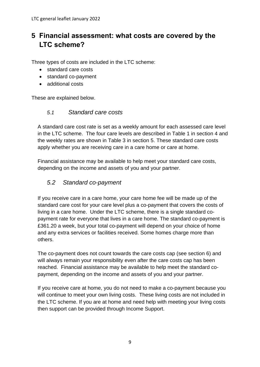# <span id="page-8-0"></span>**5 Financial assessment: what costs are covered by the LTC scheme?**

Three types of costs are included in the LTC scheme:

- standard care costs
- standard co-payment
- additional costs

These are explained below.

#### <span id="page-8-1"></span>*5.1 Standard care costs*

A standard care cost rate is set as a weekly amount for each assessed care level in the LTC scheme. The four care levels are described in Table 1 in section 4 and the weekly rates are shown in Table 3 in section 5. These standard care costs apply whether you are receiving care in a care home or care at home.

Financial assistance may be available to help meet your standard care costs, depending on the income and assets of you and your partner.

# <span id="page-8-2"></span>*5.2 Standard co-payment*

If you receive care in a care home, your care home fee will be made up of the standard care cost for your care level plus a co-payment that covers the costs of living in a care home. Under the LTC scheme, there is a single standard copayment rate for everyone that lives in a care home. The standard co-payment is £361.20 a week, but your total co-payment will depend on your choice of home and any extra services or facilities received. Some homes charge more than others.

The co-payment does not count towards the care costs cap (see section 6) and will always remain your responsibility even after the care costs cap has been reached. Financial assistance may be available to help meet the standard copayment, depending on the income and assets of you and your partner.

If you receive care at home, you do not need to make a co-payment because you will continue to meet your own living costs. These living costs are not included in the LTC scheme. If you are at home and need help with meeting your living costs then support can be provided through Income Support.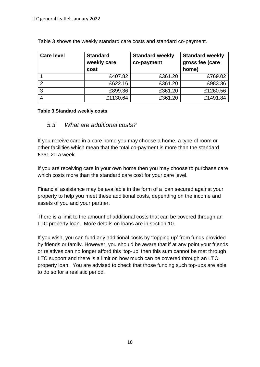| <b>Care level</b> | <b>Standard</b><br>weekly care<br>cost | <b>Standard weekly</b><br>co-payment | <b>Standard weekly</b><br>gross fee (care<br>home) |  |
|-------------------|----------------------------------------|--------------------------------------|----------------------------------------------------|--|
|                   | £407.82                                | £361.20                              | £769.02                                            |  |
| 2                 | £622.16                                | £361.20                              | £983.36                                            |  |
| 3                 | £899.36                                | £361.20                              | £1260.56                                           |  |
|                   | £1130.64                               | £361.20                              | £1491.84                                           |  |

Table 3 shows the weekly standard care costs and standard co-payment.

#### **Table 3 Standard weekly costs**

#### <span id="page-9-0"></span>*5.3 What are additional costs?*

If you receive care in a care home you may choose a home, a type of room or other facilities which mean that the total co-payment is more than the standard £361.20 a week.

If you are receiving care in your own home then you may choose to purchase care which costs more than the standard care cost for your care level.

Financial assistance may be available in the form of a loan secured against your property to help you meet these additional costs, depending on the income and assets of you and your partner.

There is a limit to the amount of additional costs that can be covered through an LTC property loan. More details on loans are in section 10.

If you wish, you can fund any additional costs by 'topping up' from funds provided by friends or family. However, you should be aware that if at any point your friends or relatives can no longer afford this 'top-up' then this sum cannot be met through LTC support and there is a limit on how much can be covered through an LTC property loan. You are advised to check that those funding such top-ups are able to do so for a realistic period.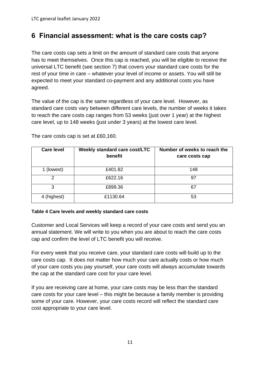# <span id="page-10-0"></span>**6 Financial assessment: what is the care costs cap?**

The care costs cap sets a limit on the amount of standard care costs that anyone has to meet themselves. Once this cap is reached, you will be eligible to receive the universal LTC benefit (see section 7) that covers your standard care costs for the rest of your time in care – whatever your level of income or assets. You will still be expected to meet your standard co-payment and any additional costs you have agreed.

The value of the cap is the same regardless of your care level. However, as standard care costs vary between different care levels, the number of weeks it takes to reach the care costs cap ranges from 53 weeks (just over 1 year) at the highest care level, up to 148 weeks (just under 3 years) at the lowest care level.

| <b>Care level</b> | Weekly standard care cost/LTC<br>benefit | Number of weeks to reach the<br>care costs cap |
|-------------------|------------------------------------------|------------------------------------------------|
| 1 (lowest)        | £401.82                                  | 148                                            |
| 2                 | £622.16                                  | 97                                             |
| 3                 | £899.36                                  | 67                                             |
| 4 (highest)       | £1130.64                                 | 53                                             |

The care costs cap is set at £60,160.

#### **Table 4 Care levels and weekly standard care costs**

Customer and Local Services will keep a record of your care costs and send you an annual statement. We will write to you when you are about to reach the care costs cap and confirm the level of LTC benefit you will receive.

For every week that you receive care, your standard care costs will build up to the care costs cap. It does not matter how much your care actually costs or how much of your care costs you pay yourself, your care costs will always accumulate towards the cap at the standard care cost for your care level.

If you are receiving care at home, your care costs may be less than the standard care costs for your care level – this might be because a family member is providing some of your care. However, your care costs record will reflect the standard care cost appropriate to your care level.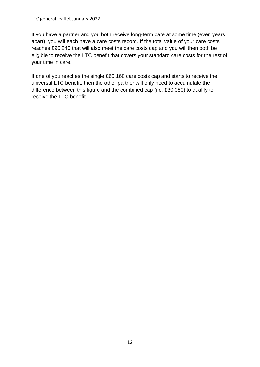#### LTC general leaflet January 2022

If you have a partner and you both receive long-term care at some time (even years apart), you will each have a care costs record. If the total value of your care costs reaches £90,240 that will also meet the care costs cap and you will then both be eligible to receive the LTC benefit that covers your standard care costs for the rest of your time in care.

If one of you reaches the single £60,160 care costs cap and starts to receive the universal LTC benefit, then the other partner will only need to accumulate the difference between this figure and the combined cap (i.e. £30,080) to qualify to receive the LTC benefit.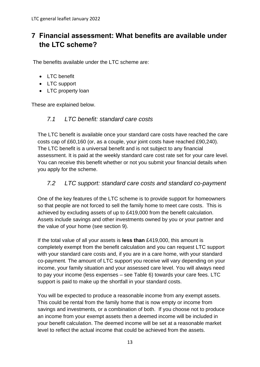# <span id="page-12-0"></span>**7 Financial assessment: What benefits are available under the LTC scheme?**

The benefits available under the LTC scheme are:

- LTC benefit
- LTC support
- LTC property loan

These are explained below.

# <span id="page-12-1"></span>*7.1 LTC benefit: standard care costs*

The LTC benefit is available once your standard care costs have reached the care costs cap of £60,160 (or, as a couple, your joint costs have reached £90,240). The LTC benefit is a universal benefit and is not subject to any financial assessment. It is paid at the weekly standard care cost rate set for your care level. You can receive this benefit whether or not you submit your financial details when you apply for the scheme.

#### <span id="page-12-2"></span>*7.2 LTC support: standard care costs and standard co-payment*

One of the key features of the LTC scheme is to provide support for homeowners so that people are not forced to sell the family home to meet care costs. This is achieved by excluding assets of up to £419,000 from the benefit calculation. Assets include savings and other investments owned by you or your partner and the value of your home (see section 9).

If the total value of all your assets is **less than** £419,000, this amount is completely exempt from the benefit calculation and you can request LTC support with your standard care costs and, if you are in a care home, with your standard co-payment*.* The amount of LTC support you receive will vary depending on your income, your family situation and your assessed care level. You will always need to pay your income (less expenses – see Table 6) towards your care fees. LTC support is paid to make up the shortfall in your standard costs.

You will be expected to produce a reasonable income from any exempt assets. This could be rental from the family home that is now empty or income from savings and investments, or a combination of both. If you choose not to produce an income from your exempt assets then a deemed income will be included in your benefit calculation. The deemed income will be set at a reasonable market level to reflect the actual income that could be achieved from the assets.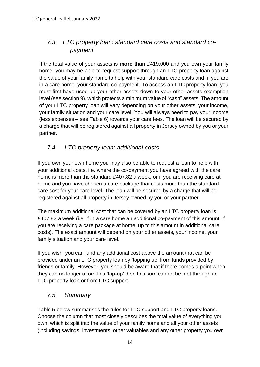# <span id="page-13-0"></span>*7.3 LTC property loan: standard care costs and standard co payment*

If the total value of your assets is **more than** £419,000 and you own your family home, you may be able to request support through an LTC property loan against the value of your family home to help with your standard care costs and, if you are in a care home, your standard co-payment. To access an LTC property loan, you must first have used up your other assets down to your other assets exemption level (see section 9), which protects a minimum value of "cash" assets. The amount of your LTC property loan will vary depending on your other assets, your income, your family situation and your care level. You will always need to pay your income (less expenses – see Table 6) towards your care fees. The loan will be secured by a charge that will be registered against all property in Jersey owned by you or your partner.

# <span id="page-13-1"></span>*7.4 LTC property loan: additional costs*

If you own your own home you may also be able to request a loan to help with your additional costs, i.e. where the co-payment you have agreed with the care home is more than the standard £407.82 a week, or if you are receiving care at home and you have chosen a care package that costs more than the standard care cost for your care level. The loan will be secured by a charge that will be registered against all property in Jersey owned by you or your partner.

The maximum additional cost that can be covered by an LTC property loan is £407.82 a week (i.e. if in a care home an additional co-payment of this amount; if you are receiving a care package at home, up to this amount in additional care costs). The exact amount will depend on your other assets, your income, your family situation and your care level.

If you wish, you can fund any additional cost above the amount that can be provided under an LTC property loan by 'topping up' from funds provided by friends or family. However, you should be aware that if there comes a point when they can no longer afford this 'top-up' then this sum cannot be met through an LTC property loan or from LTC support.

# <span id="page-13-2"></span>*7.5 Summary*

Table 5 below summarises the rules for LTC support and LTC property loans. Choose the column that most closely describes the total value of everything you own, which is split into the value of your family home and all your other assets (including savings, investments, other valuables and any other property you own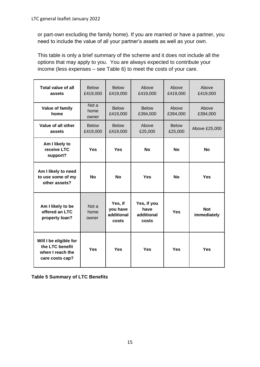or part-own excluding the family home). If you are married or have a partner, you need to include the value of all your partner's assets as well as your own.

This table is only a brief summary of the scheme and it does not include all the options that may apply to you. You are always expected to contribute your income (less expenses – see Table 6) to meet the costs of your care.

| <b>Total value of all</b><br>assets                                              | <b>Below</b><br>£419,000 | <b>Below</b><br>£419,000                   | Above<br>£419,000                                        | Above<br>£419,000       | Above<br>£419,000         |  |
|----------------------------------------------------------------------------------|--------------------------|--------------------------------------------|----------------------------------------------------------|-------------------------|---------------------------|--|
| Value of family<br>home                                                          | Not a<br>home<br>owner   | <b>Below</b><br>£419,000                   | <b>Below</b><br>£394,000                                 | Above<br>£394,000       | Above<br>£394,000         |  |
| Value of all other<br>assets                                                     | <b>Below</b><br>£419,000 | <b>Below</b><br>£419,000                   | Above<br>£25,000                                         | <b>Below</b><br>£25,000 | Above £25,000             |  |
| Am I likely to<br>receive LTC<br>support?                                        | <b>Yes</b>               | <b>Yes</b>                                 | <b>No</b>                                                | <b>No</b>               | <b>No</b>                 |  |
| Am I likely to need<br>to use some of my<br>other assets?                        | <b>No</b>                | <b>No</b>                                  | <b>Yes</b>                                               | <b>No</b>               | Yes                       |  |
| Am I likely to be<br>offered an LTC<br>property loan?                            | Not a<br>home<br>owner   | Yes, if<br>you have<br>additional<br>costs | Yes, if you<br>have<br><b>Yes</b><br>additional<br>costs |                         | <b>Not</b><br>immediately |  |
| Will I be eligible for<br>the LTC benefit<br>when I reach the<br>care costs cap? | <b>Yes</b>               | <b>Yes</b>                                 | <b>Yes</b>                                               | Yes                     | Yes                       |  |

**Table 5 Summary of LTC Benefits**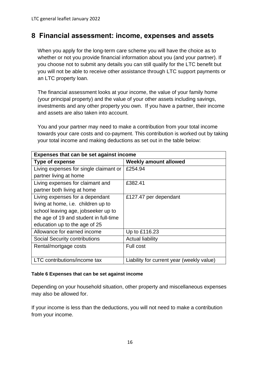# <span id="page-15-0"></span>**8 Financial assessment: income, expenses and assets**

When you apply for the long-term care scheme you will have the choice as to whether or not you provide financial information about you (and your partner). If you choose not to submit any details you can still qualify for the LTC benefit but you will not be able to receive other assistance through LTC support payments or an LTC property loan.

The financial assessment looks at your income, the value of your family home (your principal property) and the value of your other assets including savings, investments and any other property you own. If you have a partner, their income and assets are also taken into account.

You and your partner may need to make a contribution from your total income towards your care costs and co-payment. This contribution is worked out by taking your total income and making deductions as set out in the table below:

| Expenses that can be set against income |                                           |  |  |  |  |
|-----------------------------------------|-------------------------------------------|--|--|--|--|
| <b>Type of expense</b>                  | <b>Weekly amount allowed</b>              |  |  |  |  |
| Living expenses for single claimant or  | £254.94                                   |  |  |  |  |
| partner living at home                  |                                           |  |  |  |  |
| Living expenses for claimant and        | £382.41                                   |  |  |  |  |
| partner both living at home             |                                           |  |  |  |  |
| Living expenses for a dependant         | £127.47 per dependant                     |  |  |  |  |
| living at home, i.e. children up to     |                                           |  |  |  |  |
| school leaving age, jobseeker up to     |                                           |  |  |  |  |
| the age of 19 and student in full-time  |                                           |  |  |  |  |
| education up to the age of 25           |                                           |  |  |  |  |
| Allowance for earned income             | Up to £116.23                             |  |  |  |  |
| Social Security contributions           | <b>Actual liability</b>                   |  |  |  |  |
| Rental/mortgage costs                   | Full cost                                 |  |  |  |  |
|                                         |                                           |  |  |  |  |
| LTC contributions/income tax            | Liability for current year (weekly value) |  |  |  |  |

#### **Table 6 Expenses that can be set against income**

Depending on your household situation, other property and miscellaneous expenses may also be allowed for.

If your income is less than the deductions, you will not need to make a contribution from your income.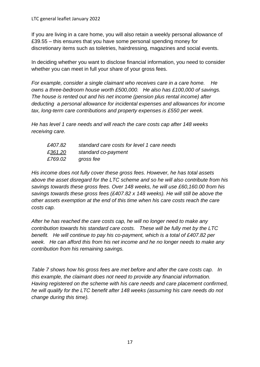If you are living in a care home, you will also retain a weekly personal allowance of £39.55 – this ensures that you have some personal spending money for discretionary items such as toiletries, hairdressing, magazines and social events.

In deciding whether you want to disclose financial information, you need to consider whether you can meet in full your share of your gross fees.

*For example, consider a single claimant who receives care in a care home. He owns a three-bedroom house worth £500,000. He also has £100,000 of savings. The house is rented out and his net income (pension plus rental income) after deducting a personal allowance for incidental expenses and allowances for income tax, long-term care contributions and property expenses is £550 per week.*

*He has level 1 care needs and will reach the care costs cap after 148 weeks receiving care.*

| £407.82 | standard care costs for level 1 care needs |
|---------|--------------------------------------------|
| £361.20 | standard co-payment                        |
| £769.02 | gross fee                                  |

*His income does not fully cover these gross fees. However, he has total assets above the asset disregard for the LTC scheme and so he will also contribute from his savings towards these gross fees. Over 148 weeks, he will use £60,160.00 from his savings towards these gross fees (£407.82 x 148 weeks). He will still be above the other assets exemption at the end of this time when his care costs reach the care costs cap.*

*After he has reached the care costs cap, he will no longer need to make any contribution towards his standard care costs. These will be fully met by the LTC benefit. He will continue to pay his co-payment, which is a total of £407.82 per week. He can afford this from his net income and he no longer needs to make any contribution from his remaining savings.*

*Table 7 shows how his gross fees are met before and after the care costs cap. In this example, the claimant does not need to provide any financial information. Having registered on the scheme with his care needs and care placement confirmed, he will qualify for the LTC benefit after 148 weeks (assuming his care needs do not change during this time).*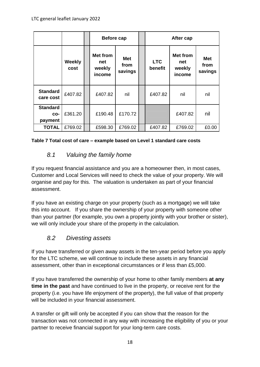|                                   |                       | <b>Before cap</b>                          |                               | After cap             |                                            |                               |
|-----------------------------------|-----------------------|--------------------------------------------|-------------------------------|-----------------------|--------------------------------------------|-------------------------------|
|                                   | <b>Weekly</b><br>cost | <b>Met from</b><br>net<br>weekly<br>income | <b>Met</b><br>from<br>savings | <b>LTC</b><br>benefit | <b>Met from</b><br>net<br>weekly<br>income | <b>Met</b><br>from<br>savings |
| <b>Standard</b><br>care cost      | £407.82               | £407.82                                    | nil                           | £407.82               | nil                                        | nil                           |
| <b>Standard</b><br>CO-<br>payment | £361.20               | £190.48                                    | £170.72                       |                       | £407.82                                    | nil                           |
| <b>TOTAL</b>                      | £769.02               | £598.30                                    | £769.02                       | £407.82               | £769.02                                    | £0.00                         |

#### **Table 7 Total cost of care – example based on Level 1 standard care costs**

# <span id="page-17-0"></span>*8.1 Valuing the family home*

If you request financial assistance and you are a homeowner then, in most cases, Customer and Local Services will need to check the value of your property. We will organise and pay for this. The valuation is undertaken as part of your financial assessment.

If you have an existing charge on your property (such as a mortgage) we will take this into account. If you share the ownership of your property with someone other than your partner (for example, you own a property jointly with your brother or sister), we will only include your share of the property in the calculation.

# <span id="page-17-1"></span>*8.2 Divesting assets*

If you have transferred or given away assets in the ten-year period before you apply for the LTC scheme, we will continue to include these assets in any financial assessment, other than in exceptional circumstances or if less than £5,000.

If you have transferred the ownership of your home to other family members **at any time in the past** and have continued to live in the property, or receive rent for the property (i.e. you have life enjoyment of the property), the full value of that property will be included in your financial assessment.

A transfer or gift will only be accepted if you can show that the reason for the transaction was not connected in any way with increasing the eligibility of you or your partner to receive financial support for your long-term care costs.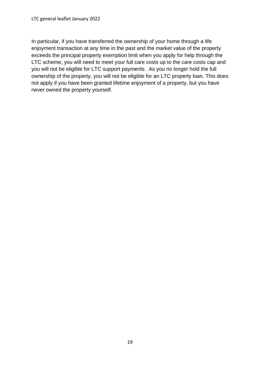In particular, if you have transferred the ownership of your home through a life enjoyment transaction at any time in the past and the market value of the property exceeds the principal property exemption limit when you apply for help through the LTC scheme, you will need to meet your full care costs up to the care costs cap and you will not be eligible for LTC support payments. As you no longer hold the full ownership of the property, you will not be eligible for an LTC property loan. This does not apply if you have been granted lifetime enjoyment of a property, but you have never owned the property yourself.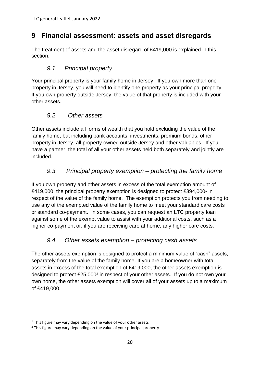# <span id="page-19-0"></span>**9 Financial assessment: assets and asset disregards**

The treatment of assets and the asset disregard of £419,000 is explained in this section.

# <span id="page-19-1"></span>*9.1 Principal property*

Your principal property is your family home in Jersey. If you own more than one property in Jersey, you will need to identify one property as your principal property. If you own property outside Jersey, the value of that property is included with your other assets.

#### <span id="page-19-2"></span>*9.2 Other assets*

Other assets include all forms of wealth that you hold excluding the value of the family home, but including bank accounts, investments, premium bonds, other property in Jersey, all property owned outside Jersey and other valuables. If you have a partner, the total of all your other assets held both separately and jointly are included.

# <span id="page-19-3"></span>*9.3 Principal property exemption – protecting the family home*

If you own property and other assets in excess of the total exemption amount of £419,000, the principal property exemption is designed to protect £394,000<sup>1</sup> in respect of the value of the family home. The exemption protects you from needing to use any of the exempted value of the family home to meet your standard care costs or standard co-payment. In some cases, you can request an LTC property loan against some of the exempt value to assist with your additional costs, such as a higher co-payment or, if you are receiving care at home, any higher care costs.

#### <span id="page-19-4"></span>*9.4 Other assets exemption – protecting cash assets*

The other assets exemption is designed to protect a minimum value of "cash" assets, separately from the value of the family home. If you are a homeowner with total assets in excess of the total exemption of £419,000, the other assets exemption is designed to protect £25,000<sup>2</sup> in respect of your other assets. If you do not own your own home, the other assets exemption will cover all of your assets up to a maximum of £419,000.

 $1$  This figure may vary depending on the value of your other assets

<sup>&</sup>lt;sup>2</sup> This figure may vary depending on the value of your principal property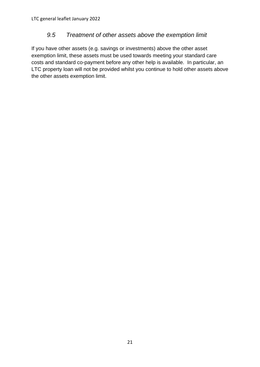# <span id="page-20-0"></span>*9.5 Treatment of other assets above the exemption limit*

If you have other assets (e.g. savings or investments) above the other asset exemption limit, these assets must be used towards meeting your standard care costs and standard co-payment before any other help is available. In particular, an LTC property loan will not be provided whilst you continue to hold other assets above the other assets exemption limit.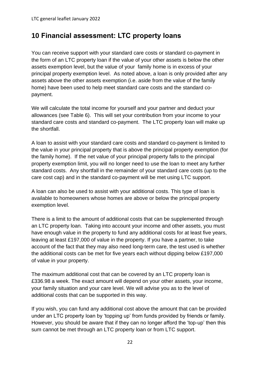# <span id="page-21-0"></span>**10 Financial assessment: LTC property loans**

You can receive support with your standard care costs or standard co-payment in the form of an LTC property loan if the value of your other assets is below the other assets exemption level, but the value of your family home is in excess of your principal property exemption level. As noted above, a loan is only provided after any assets above the other assets exemption (i.e. aside from the value of the family home) have been used to help meet standard care costs and the standard copayment.

We will calculate the total income for yourself and your partner and deduct your allowances (see Table 6). This will set your contribution from your income to your standard care costs and standard co-payment. The LTC property loan will make up the shortfall.

A loan to assist with your standard care costs and standard co-payment is limited to the value in your principal property that is above the principal property exemption (for the family home). If the net value of your principal property falls to the principal property exemption limit, you will no longer need to use the loan to meet any further standard costs. Any shortfall in the remainder of your standard care costs (up to the care cost cap) and in the standard co-payment will be met using LTC support.

A loan can also be used to assist with your additional costs. This type of loan is available to homeowners whose homes are above or below the principal property exemption level.

There is a limit to the amount of additional costs that can be supplemented through an LTC property loan. Taking into account your income and other assets, you must have enough value in the property to fund any additional costs for at least five years, leaving at least £197,000 of value in the property. If you have a partner, to take account of the fact that they may also need long-term care, the test used is whether the additional costs can be met for five years each without dipping below £197,000 of value in your property.

The maximum additional cost that can be covered by an LTC property loan is £336.98 a week. The exact amount will depend on your other assets, your income, your family situation and your care level. We will advise you as to the level of additional costs that can be supported in this way.

If you wish, you can fund any additional cost above the amount that can be provided under an LTC property loan by 'topping up' from funds provided by friends or family. However, you should be aware that if they can no longer afford the 'top-up' then this sum cannot be met through an LTC property loan or from LTC support.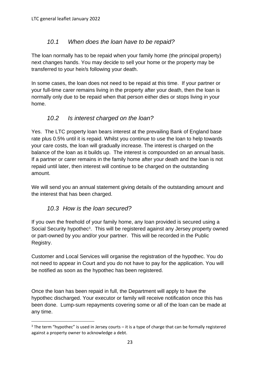# <span id="page-22-0"></span>*10.1 When does the loan have to be repaid?*

The loan normally has to be repaid when your family home (the principal property) next changes hands. You may decide to sell your home or the property may be transferred to your heir/s following your death.

In some cases, the loan does not need to be repaid at this time. If your partner or your full-time carer remains living in the property after your death, then the loan is normally only due to be repaid when that person either dies or stops living in your home.

# <span id="page-22-1"></span>*10.2 Is interest charged on the loan?*

Yes. The LTC property loan bears interest at the prevailing Bank of England base rate plus 0.5% until it is repaid. Whilst you continue to use the loan to help towards your care costs, the loan will gradually increase. The interest is charged on the balance of the loan as it builds up. The interest is compounded on an annual basis. If a partner or carer remains in the family home after your death and the loan is not repaid until later, then interest will continue to be charged on the outstanding amount.

We will send you an annual statement giving details of the outstanding amount and the interest that has been charged.

# *10.3 How is the loan secured?*

<span id="page-22-2"></span>If you own the freehold of your family home, any loan provided is secured using a Social Security hypothec<sup>3</sup>. This will be registered against any Jersey property owned or part-owned by you and/or your partner. This will be recorded in the Public Registry.

Customer and Local Services will organise the registration of the hypothec. You do not need to appear in Court and you do not have to pay for the application. You will be notified as soon as the hypothec has been registered.

Once the loan has been repaid in full, the Department will apply to have the hypothec discharged. Your executor or family will receive notification once this has been done. Lump-sum repayments covering some or all of the loan can be made at any time.

 $3$  The term "hypothec" is used in Jersey courts – it is a type of charge that can be formally registered against a property owner to acknowledge a debt.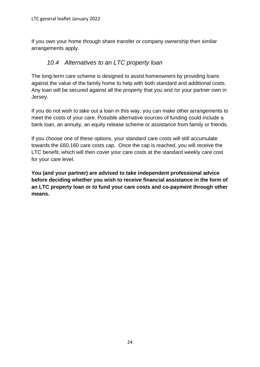If you own your home through share transfer or company ownership then similar arrangements apply.

# <span id="page-23-0"></span>*10.4 Alternatives to an LTC property loan*

The long-term care scheme is designed to assist homeowners by providing loans against the value of the family home to help with both standard and additional costs. Any loan will be secured against all the property that you and /or your partner own in Jersey.

If you do not wish to take out a loan in this way, you can make other arrangements to meet the costs of your care. Possible alternative sources of funding could include a bank loan, an annuity, an equity release scheme or assistance from family or friends.

If you choose one of these options, your standard care costs will still accumulate towards the £60,160 care costs cap. Once the cap is reached, you will receive the LTC benefit, which will then cover your care costs at the standard weekly care cost for your care level.

**You (and your partner) are advised to take independent professional advice before deciding whether you wish to receive financial assistance in the form of an LTC property loan or to fund your care costs and co-payment through other means.**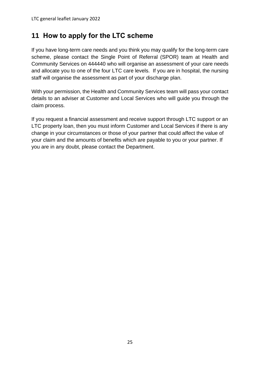# <span id="page-24-0"></span>**11 How to apply for the LTC scheme**

If you have long-term care needs and you think you may qualify for the long-term care scheme, please contact the Single Point of Referral (SPOR) team at Health and Community Services on 444440 who will organise an assessment of your care needs and allocate you to one of the four LTC care levels. If you are in hospital, the nursing staff will organise the assessment as part of your discharge plan.

With your permission, the Health and Community Services team will pass your contact details to an adviser at Customer and Local Services who will guide you through the claim process.

If you request a financial assessment and receive support through LTC support or an LTC property loan, then you must inform Customer and Local Services if there is any change in your circumstances or those of your partner that could affect the value of your claim and the amounts of benefits which are payable to you or your partner. If you are in any doubt, please contact the Department.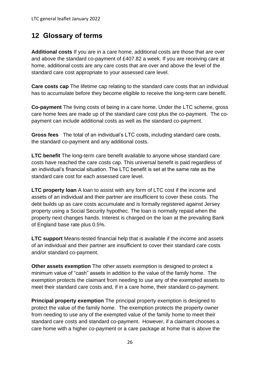# <span id="page-25-0"></span>**12 Glossary of terms**

**Additional costs** If you are in a care home, additional costs are those that are over and above the standard co-payment of £407.82 a week. If you are receiving care at home, additional costs are any care costs that are over and above the level of the standard care cost appropriate to your assessed care level.

**Care costs cap** The lifetime cap relating to the standard care costs that an individual has to accumulate before they become eligible to receive the long-term care benefit.

**Co-payment** The living costs of being in a care home. Under the LTC scheme, gross care home fees are made up of the standard care cost plus the co-payment. The copayment can include additional costs as well as the standard co-payment.

**Gross fees** The total of an individual's LTC costs, including standard care costs, the standard co-payment and any additional costs.

**LTC benefit** The long-term care benefit available to anyone whose standard care costs have reached the care costs cap. This universal benefit is paid regardless of an individual's financial situation. The LTC benefit is set at the same rate as the standard care cost for each assessed care level.

**LTC property loan** A loan to assist with any form of LTC cost if the income and assets of an individual and their partner are insufficient to cover these costs. The debt builds up as care costs accumulate and is formally registered against Jersey property using a Social Security hypothec. The loan is normally repaid when the property next changes hands. Interest is charged on the loan at the prevailing Bank of England base rate plus 0.5%.

**LTC support** Means-tested financial help that is available if the income and assets of an individual and their partner are insufficient to cover their standard care costs and/or standard co-payment.

**Other assets exemption** The other assets exemption is designed to protect a minimum value of "cash" assets in addition to the value of the family home. The exemption protects the claimant from needing to use any of the exempted assets to meet their standard care costs and, if in a care home, their standard co-payment.

**Principal property exemption** The principal property exemption is designed to protect the value of the family home. The exemption protects the property owner from needing to use any of the exempted value of the family home to meet their standard care costs and standard co-payment. However, if a claimant chooses a care home with a higher co-payment or a care package at home that is above the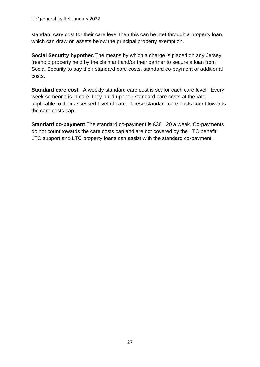standard care cost for their care level then this can be met through a property loan, which can draw on assets below the principal property exemption.

**Social Security hypothec** The means by which a charge is placed on any Jersey freehold property held by the claimant and/or their partner to secure a loan from Social Security to pay their standard care costs, standard co-payment or additional costs.

**Standard care cost** A weekly standard care cost is set for each care level. Every week someone is in care, they build up their standard care costs at the rate applicable to their assessed level of care. These standard care costs count towards the care costs cap.

**Standard co-payment** The standard co-payment is £361.20 a week. Co-payments do not count towards the care costs cap and are not covered by the LTC benefit. LTC support and LTC property loans can assist with the standard co-payment.